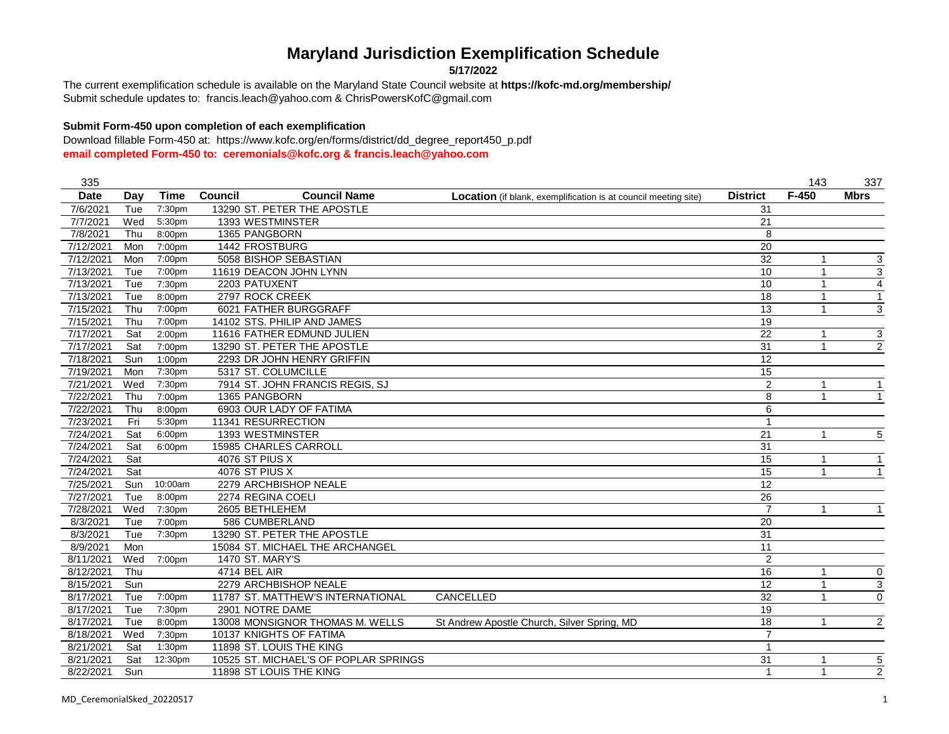**5/17/2022**

Submit schedule updates to: francis.leach@yahoo.com & ChrisPowersKofC@gmail.com The current exemplification schedule is available on the Maryland State Council website at **https://kofc-md.org/membership/**

### **Submit Form-450 upon completion of each exemplification**

| 335         |     |                    |                                       |                                                                        |                 | 143          | 337                       |
|-------------|-----|--------------------|---------------------------------------|------------------------------------------------------------------------|-----------------|--------------|---------------------------|
| <b>Date</b> | Day | Time               | <b>Council Name</b><br><b>Council</b> | <b>Location</b> (if blank, exemplification is at council meeting site) | <b>District</b> | $F-450$      | <b>Mbrs</b>               |
| 7/6/2021    | Tue | 7:30pm             | 13290 ST. PETER THE APOSTLE           |                                                                        | 31              |              |                           |
| 7/7/2021    | Wed | 5:30pm             | 1393 WESTMINSTER                      |                                                                        | 21              |              |                           |
| 7/8/2021    | Thu | 8:00pm             | 1365 PANGBORN                         |                                                                        | 8               |              |                           |
| 7/12/2021   | Mon | 7:00pm             | 1442 FROSTBURG                        |                                                                        | 20              |              |                           |
| 7/12/2021   | Mon | 7:00pm             | 5058 BISHOP SEBASTIAN                 |                                                                        | $\overline{32}$ | $\mathbf{1}$ | $\overline{3}$            |
| 7/13/2021   | Tue | 7:00pm             | 11619 DEACON JOHN LYNN                |                                                                        | 10              |              | 3                         |
| 7/13/2021   | Tue | 7:30pm             | 2203 PATUXENT                         |                                                                        | 10              |              | $\overline{4}$            |
| 7/13/2021   | Tue | 8:00pm             | 2797 ROCK CREEK                       |                                                                        | 18              | 1            | $\overline{1}$            |
| 7/15/2021   | Thu | 7:00pm             | 6021 FATHER BURGGRAFF                 |                                                                        | 13              | -1           | 3                         |
| 7/15/2021   | Thu | 7:00pm             | 14102 STS. PHILIP AND JAMES           |                                                                        | 19              |              |                           |
| 7/17/2021   | Sat | 2:00 <sub>pm</sub> | 11616 FATHER EDMUND JULIEN            |                                                                        | 22              |              | $\ensuremath{\mathsf{3}}$ |
| 7/17/2021   | Sat | 7:00pm             | 13290 ST. PETER THE APOSTLE           |                                                                        | 31              |              | $\overline{c}$            |
| 7/18/2021   | Sun | 1:00 <sub>pm</sub> | 2293 DR JOHN HENRY GRIFFIN            |                                                                        | 12              |              |                           |
| 7/19/2021   | Mon | 7:30pm             | 5317 ST. COLUMCILLE                   |                                                                        | 15              |              |                           |
| 7/21/2021   | Wed | 7:30pm             | 7914 ST. JOHN FRANCIS REGIS, SJ       |                                                                        | $\overline{2}$  |              |                           |
| 7/22/2021   | Thu | 7:00pm             | 1365 PANGBORN                         |                                                                        | 8               |              |                           |
| 7/22/2021   | Thu | 8:00pm             | 6903 OUR LADY OF FATIMA               |                                                                        | 6               |              |                           |
| 7/23/2021   | Fri | 5:30pm             | 11341 RESURRECTION                    |                                                                        | 1               |              |                           |
| 7/24/2021   | Sat | 6:00pm             | 1393 WESTMINSTER                      |                                                                        | 21              | $\mathbf{1}$ | 5                         |
| 7/24/2021   | Sat | 6:00pm             | 15985 CHARLES CARROLL                 |                                                                        | 31              |              |                           |
| 7/24/2021   | Sat |                    | 4076 ST PIUS X                        |                                                                        | 15              |              |                           |
| 7/24/2021   | Sat |                    | 4076 ST PIUS X                        |                                                                        | $\overline{15}$ |              |                           |
| 7/25/2021   | Sun | 10:00am            | 2279 ARCHBISHOP NEALE                 |                                                                        | 12              |              |                           |
| 7/27/2021   | Tue | 8:00pm             | 2274 REGINA COELI                     |                                                                        | 26              |              |                           |
| 7/28/2021   | Wed | 7:30pm             | 2605 BETHLEHEM                        |                                                                        | $\overline{7}$  | $\mathbf{1}$ | $\overline{1}$            |
| 8/3/2021    | Tue | 7:00pm             | 586 CUMBERLAND                        |                                                                        | 20              |              |                           |
| 8/3/2021    | Tue | 7:30pm             | 13290 ST. PETER THE APOSTLE           |                                                                        | 31              |              |                           |
| 8/9/2021    | Mon |                    | 15084 ST. MICHAEL THE ARCHANGEL       |                                                                        | 11              |              |                           |
| 8/11/2021   | Wed | 7:00pm             | <b>1470 ST. MARY'S</b>                |                                                                        | $\overline{2}$  |              |                           |
| 8/12/2021   | Thu |                    | 4714 BEL AIR                          |                                                                        | 16              |              | 0                         |
| 8/15/2021   | Sun |                    | 2279 ARCHBISHOP NEALE                 |                                                                        | 12              |              | $\overline{3}$            |
| 8/17/2021   | Tue | 7:00pm             | 11787 ST. MATTHEW'S INTERNATIONAL     | CANCELLED                                                              | 32              |              | $\mathbf 0$               |
| 8/17/2021   | Tue | 7:30pm             | 2901 NOTRE DAME                       |                                                                        | 19              |              |                           |
| 8/17/2021   | Tue | 8:00pm             | 13008 MONSIGNOR THOMAS M. WELLS       | St Andrew Apostle Church, Silver Spring, MD                            | 18              |              | 2                         |
| 8/18/2021   | Wed | 7:30pm             | 10137 KNIGHTS OF FATIMA               |                                                                        | $\overline{7}$  |              |                           |
| 8/21/2021   | Sat | 1:30 <sub>pm</sub> | 11898 ST. LOUIS THE KING              |                                                                        | 1               |              |                           |
| 8/21/2021   | Sat | 12:30pm            | 10525 ST. MICHAEL'S OF POPLAR SPRINGS |                                                                        | 31              |              | 5                         |
| 8/22/2021   | Sun |                    | 11898 ST LOUIS THE KING               |                                                                        | -1              | 1            | $\overline{2}$            |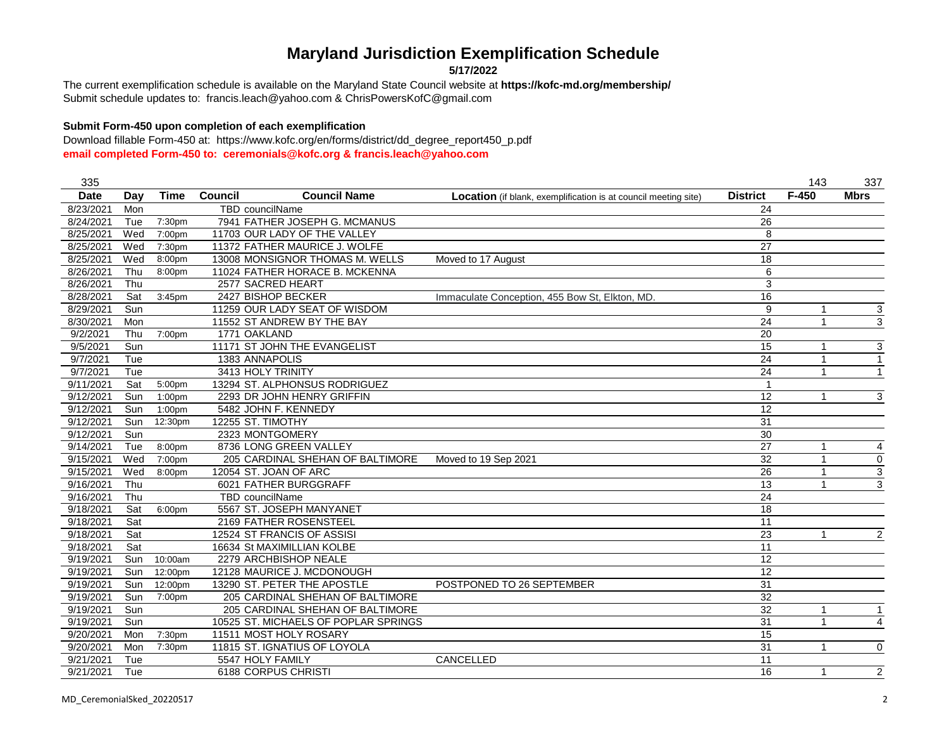**5/17/2022**

Submit schedule updates to: francis.leach@yahoo.com & ChrisPowersKofC@gmail.com The current exemplification schedule is available on the Maryland State Council website at **https://kofc-md.org/membership/**

### **Submit Form-450 upon completion of each exemplification**

| 335         |     |                    |                                       |                                                                 |                 | 143          | 337              |
|-------------|-----|--------------------|---------------------------------------|-----------------------------------------------------------------|-----------------|--------------|------------------|
| <b>Date</b> | Day | <b>Time</b>        | <b>Council</b><br><b>Council Name</b> | Location (if blank, exemplification is at council meeting site) | <b>District</b> | $F-450$      | <b>Mbrs</b>      |
| 8/23/2021   | Mon |                    | <b>TBD</b> councilName                |                                                                 | 24              |              |                  |
| 8/24/2021   | Tue | 7:30pm             | 7941 FATHER JOSEPH G. MCMANUS         |                                                                 | $\overline{26}$ |              |                  |
| 8/25/2021   | Wed | 7:00pm             | 11703 OUR LADY OF THE VALLEY          |                                                                 | 8               |              |                  |
| 8/25/2021   | Wed | 7:30pm             | 11372 FATHER MAURICE J. WOLFE         |                                                                 | $\overline{27}$ |              |                  |
| 8/25/2021   | Wed | 8:00pm             | 13008 MONSIGNOR THOMAS M. WELLS       | Moved to 17 August                                              | $\overline{18}$ |              |                  |
| 8/26/2021   | Thu | 8:00pm             | 11024 FATHER HORACE B. MCKENNA        |                                                                 | 6               |              |                  |
| 8/26/2021   | Thu |                    | 2577 SACRED HEART                     |                                                                 | 3               |              |                  |
| 8/28/2021   | Sat | $3:45$ pm          | 2427 BISHOP BECKER                    | Immaculate Conception, 455 Bow St, Elkton, MD.                  | 16              |              |                  |
| 8/29/2021   | Sun |                    | 11259 OUR LADY SEAT OF WISDOM         |                                                                 | 9               | 1            | 3                |
| 8/30/2021   | Mon |                    | 11552 ST ANDREW BY THE BAY            |                                                                 | $\overline{24}$ | $\mathbf{1}$ | $\overline{3}$   |
| 9/2/2021    | Thu | 7:00pm             | 1771 OAKLAND                          |                                                                 | 20              |              |                  |
| 9/5/2021    | Sun |                    | 11171 ST JOHN THE EVANGELIST          |                                                                 | $\overline{15}$ | 1            | 3                |
| 9/7/2021    | Tue |                    | 1383 ANNAPOLIS                        |                                                                 | $\overline{24}$ | 1            | $\mathbf{1}$     |
| 9/7/2021    | Tue |                    | 3413 HOLY TRINITY                     |                                                                 | $\overline{24}$ | $\mathbf 1$  | $\mathbf{1}$     |
| 9/11/2021   | Sat | 5:00pm             | 13294 ST. ALPHONSUS RODRIGUEZ         |                                                                 | 1               |              |                  |
| 9/12/2021   | Sun | 1:00pm             | 2293 DR JOHN HENRY GRIFFIN            |                                                                 | $\overline{12}$ | 1            | 3                |
| 9/12/2021   | Sun | 1:00pm             | 5482 JOHN F. KENNEDY                  |                                                                 | 12              |              |                  |
| 9/12/2021   | Sun | 12:30pm            | 12255 ST. TIMOTHY                     |                                                                 | 31              |              |                  |
| 9/12/2021   | Sun |                    | 2323 MONTGOMERY                       |                                                                 | 30              |              |                  |
| 9/14/2021   | Tue | 8:00 <sub>pm</sub> | 8736 LONG GREEN VALLEY                |                                                                 | $\overline{27}$ | 1            | 4                |
| 9/15/2021   | Wed | 7:00pm             | 205 CARDINAL SHEHAN OF BALTIMORE      | Moved to 19 Sep 2021                                            | 32              | 1            | $\boldsymbol{0}$ |
| 9/15/2021   | Wed | 8:00pm             | 12054 ST. JOAN OF ARC                 |                                                                 | $\overline{26}$ | 1            | 3                |
| 9/16/2021   | Thu |                    | 6021 FATHER BURGGRAFF                 |                                                                 | $\overline{13}$ | 1            | 3                |
| 9/16/2021   | Thu |                    | TBD councilName                       |                                                                 | $\overline{24}$ |              |                  |
| 9/18/2021   | Sat | 6:00pm             | 5567 ST. JOSEPH MANYANET              |                                                                 | 18              |              |                  |
| 9/18/2021   | Sat |                    | 2169 FATHER ROSENSTEEL                |                                                                 | 11              |              |                  |
| 9/18/2021   | Sat |                    | 12524 ST FRANCIS OF ASSISI            |                                                                 | 23              | 1            | $\overline{2}$   |
| 9/18/2021   | Sat |                    | 16634 St MAXIMILLIAN KOLBE            |                                                                 | 11              |              |                  |
| 9/19/2021   | Sun | 10:00am            | 2279 ARCHBISHOP NEALE                 |                                                                 | 12              |              |                  |
| 9/19/2021   | Sun | 12:00pm            | 12128 MAURICE J. MCDONOUGH            |                                                                 | 12              |              |                  |
| 9/19/2021   | Sun | 12:00pm            | 13290 ST. PETER THE APOSTLE           | POSTPONED TO 26 SEPTEMBER                                       | 31              |              |                  |
| 9/19/2021   | Sun | 7:00pm             | 205 CARDINAL SHEHAN OF BALTIMORE      |                                                                 | 32              |              |                  |
| 9/19/2021   | Sun |                    | 205 CARDINAL SHEHAN OF BALTIMORE      |                                                                 | 32              | 1            | $\mathbf{1}$     |
| 9/19/2021   | Sun |                    | 10525 ST. MICHAELS OF POPLAR SPRINGS  |                                                                 | 31              | 1            | 4                |
| 9/20/2021   | Mon | 7:30pm             | 11511 MOST HOLY ROSARY                |                                                                 | $\overline{15}$ |              |                  |
| 9/20/2021   | Mon | 7:30pm             | 11815 ST. IGNATIUS OF LOYOLA          |                                                                 | $\overline{31}$ | 1            | $\mathbf 0$      |
| 9/21/2021   | Tue |                    | 5547 HOLY FAMILY                      | CANCELLED                                                       | 11              |              |                  |
| 9/21/2021   | Tue |                    | 6188 CORPUS CHRISTI                   |                                                                 | 16              | 1            | 2                |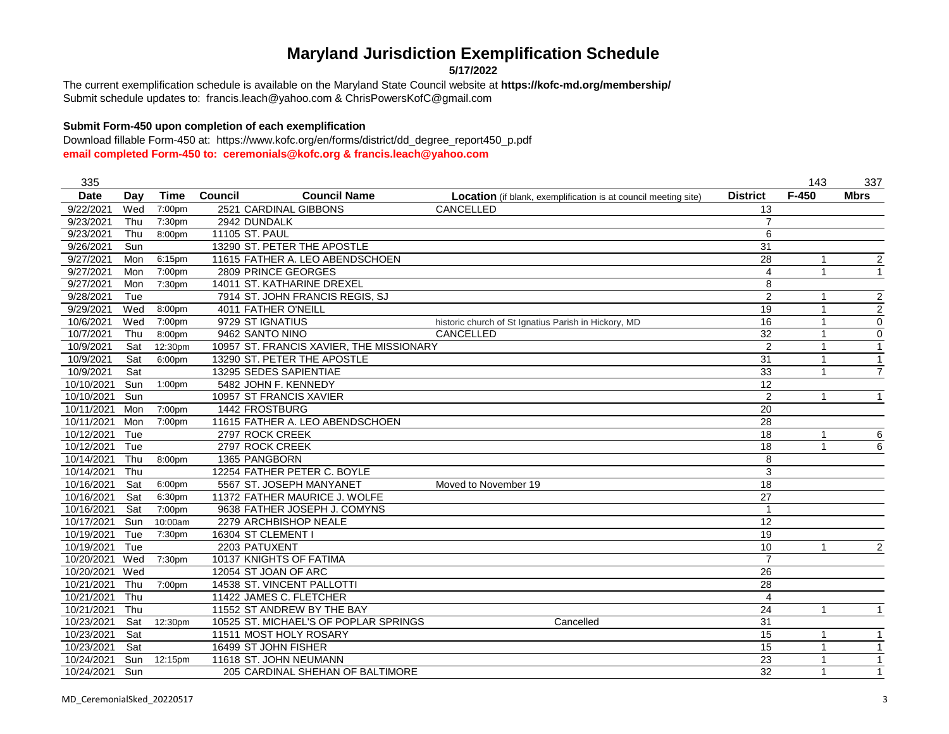**5/17/2022**

Submit schedule updates to: francis.leach@yahoo.com & ChrisPowersKofC@gmail.com The current exemplification schedule is available on the Maryland State Council website at **https://kofc-md.org/membership/**

#### **Submit Form-450 upon completion of each exemplification**

| 335         |     |             |                                          |                                                                        |                 | 143          | 337                     |
|-------------|-----|-------------|------------------------------------------|------------------------------------------------------------------------|-----------------|--------------|-------------------------|
| <b>Date</b> | Day | <b>Time</b> | <b>Council Name</b><br>Council           | <b>Location</b> (if blank, exemplification is at council meeting site) | <b>District</b> | $F-450$      | <b>Mbrs</b>             |
| 9/22/2021   | Wed | 7:00pm      | 2521 CARDINAL GIBBONS                    | CANCELLED                                                              | 13              |              |                         |
| 9/23/2021   | Thu | 7:30pm      | 2942 DUNDALK                             |                                                                        | $\overline{7}$  |              |                         |
| 9/23/2021   | Thu | 8:00pm      | 11105 ST. PAUL                           |                                                                        | 6               |              |                         |
| 9/26/2021   | Sun |             | 13290 ST. PETER THE APOSTLE              |                                                                        | 31              |              |                         |
| 9/27/2021   | Mon | 6:15pm      | 11615 FATHER A. LEO ABENDSCHOEN          |                                                                        | 28              | -1           | $\overline{\mathbf{c}}$ |
| 9/27/2021   | Mon | 7:00pm      | 2809 PRINCE GEORGES                      |                                                                        | 4               |              | $\mathbf{1}$            |
| 9/27/2021   | Mon | 7:30pm      | 14011 ST. KATHARINE DREXEL               |                                                                        | 8               |              |                         |
| 9/28/2021   | Tue |             | 7914 ST. JOHN FRANCIS REGIS, SJ          |                                                                        | $\overline{2}$  |              | $\overline{2}$          |
| 9/29/2021   | Wed | 8:00pm      | 4011 FATHER O'NEILL                      |                                                                        | 19              |              | $\overline{2}$          |
| 10/6/2021   | Wed | 7:00pm      | 9729 ST IGNATIUS                         | historic church of St Ignatius Parish in Hickory, MD                   | 16              |              | $\pmb{0}$               |
| 10/7/2021   | Thu | 8:00pm      | 9462 SANTO NINO                          | CANCELLED                                                              | 32              |              | $\mathbf 0$             |
| 10/9/2021   | Sat | 12:30pm     | 10957 ST. FRANCIS XAVIER. THE MISSIONARY |                                                                        | $\overline{2}$  |              | $\mathbf{1}$            |
| 10/9/2021   | Sat | 6:00pm      | 13290 ST. PETER THE APOSTLE              |                                                                        | 31              |              | $\mathbf{1}$            |
| 10/9/2021   | Sat |             | 13295 SEDES SAPIENTIAE                   |                                                                        | 33              |              | $\overline{7}$          |
| 10/10/2021  | Sun | 1:00pm      | 5482 JOHN F. KENNEDY                     |                                                                        | $\overline{12}$ |              |                         |
| 10/10/2021  | Sun |             | 10957 ST FRANCIS XAVIER                  |                                                                        | $\overline{2}$  | $\mathbf{1}$ |                         |
| 10/11/2021  | Mon | 7:00pm      | 1442 FROSTBURG                           |                                                                        | $\overline{20}$ |              |                         |
| 10/11/2021  | Mon | 7:00pm      | 11615 FATHER A. LEO ABENDSCHOEN          |                                                                        | $\overline{28}$ |              |                         |
| 10/12/2021  | Tue |             | 2797 ROCK CREEK                          |                                                                        | 18              |              | 6                       |
| 10/12/2021  | Tue |             | 2797 ROCK CREEK                          |                                                                        | 18              |              | 6                       |
| 10/14/2021  | Thu | 8:00pm      | 1365 PANGBORN                            |                                                                        | 8               |              |                         |
| 10/14/2021  | Thu |             | 12254 FATHER PETER C. BOYLE              |                                                                        | 3               |              |                         |
| 10/16/2021  | Sat | 6:00pm      | 5567 ST. JOSEPH MANYANET                 | Moved to November 19                                                   | 18              |              |                         |
| 10/16/2021  | Sat | 6:30pm      | 11372 FATHER MAURICE J. WOLFE            |                                                                        | $\overline{27}$ |              |                         |
| 10/16/2021  | Sat | 7:00pm      | 9638 FATHER JOSEPH J. COMYNS             |                                                                        |                 |              |                         |
| 10/17/2021  | Sun | 10:00am     | 2279 ARCHBISHOP NEALE                    |                                                                        | 12              |              |                         |
| 10/19/2021  | Tue | 7:30pm      | 16304 ST CLEMENT I                       |                                                                        | 19              |              |                         |
| 10/19/2021  | Tue |             | 2203 PATUXENT                            |                                                                        | 10              |              | $\overline{\mathbf{c}}$ |
| 10/20/2021  | Wed | 7:30pm      | 10137 KNIGHTS OF FATIMA                  |                                                                        | $\overline{7}$  |              |                         |
| 10/20/2021  | Wed |             | 12054 ST JOAN OF ARC                     |                                                                        | 26              |              |                         |
| 10/21/2021  | Thu | 7:00pm      | 14538 ST. VINCENT PALLOTTI               |                                                                        | 28              |              |                         |
| 10/21/2021  | Thu |             | 11422 JAMES C. FLETCHER                  |                                                                        | 4               |              |                         |
| 10/21/2021  | Thu |             | 11552 ST ANDREW BY THE BAY               |                                                                        | 24              | $\mathbf 1$  |                         |
| 10/23/2021  | Sat | 12:30pm     | 10525 ST. MICHAEL'S OF POPLAR SPRINGS    | Cancelled                                                              | 31              |              |                         |
| 10/23/2021  | Sat |             | 11511 MOST HOLY ROSARY                   |                                                                        | 15              | -1           | -1                      |
| 10/23/2021  | Sat |             | 16499 ST JOHN FISHER                     |                                                                        | $\overline{15}$ |              | 1                       |
| 10/24/2021  | Sun | 12:15pm     | 11618 ST. JOHN NEUMANN                   |                                                                        | 23              |              |                         |
| 10/24/2021  | Sun |             | 205 CARDINAL SHEHAN OF BALTIMORE         |                                                                        | 32              |              |                         |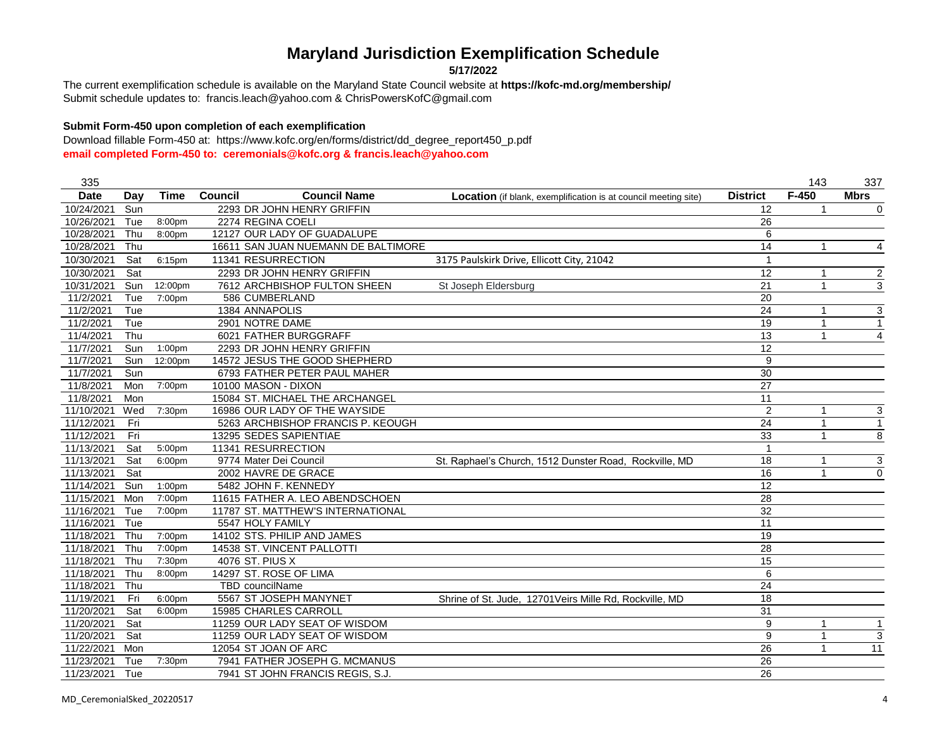**5/17/2022**

Submit schedule updates to: francis.leach@yahoo.com & ChrisPowersKofC@gmail.com The current exemplification schedule is available on the Maryland State Council website at **https://kofc-md.org/membership/**

### **Submit Form-450 upon completion of each exemplification**

| 335         |     |                    |                                       |                                                                        |                  | 143          | 337              |
|-------------|-----|--------------------|---------------------------------------|------------------------------------------------------------------------|------------------|--------------|------------------|
| <b>Date</b> | Day | <b>Time</b>        | <b>Council Name</b><br><b>Council</b> | <b>Location</b> (if blank, exemplification is at council meeting site) | <b>District</b>  | $F-450$      | <b>Mbrs</b>      |
| 10/24/2021  | Sun |                    | 2293 DR JOHN HENRY GRIFFIN            |                                                                        | 12               | 1            | $\mathbf 0$      |
| 10/26/2021  | Tue | 8:00pm             | 2274 REGINA COELI                     |                                                                        | 26               |              |                  |
| 10/28/2021  | Thu | 8:00pm             | 12127 OUR LADY OF GUADALUPE           |                                                                        | 6                |              |                  |
| 10/28/2021  | Thu |                    | 16611 SAN JUAN NUEMANN DE BALTIMORE   |                                                                        | 14               | $\mathbf{1}$ | $\overline{4}$   |
| 10/30/2021  | Sat | 6:15pm             | 11341 RESURRECTION                    | 3175 Paulskirk Drive, Ellicott City, 21042                             | 1                |              |                  |
| 10/30/2021  | Sat |                    | 2293 DR JOHN HENRY GRIFFIN            |                                                                        | $\overline{12}$  | 1            | $\boldsymbol{2}$ |
| 10/31/2021  | Sun | 12:00pm            | 7612 ARCHBISHOP FULTON SHEEN          | St Joseph Eldersburg                                                   | 21               | $\mathbf{1}$ | 3                |
| 11/2/2021   | Tue | 7:00pm             | 586 CUMBERLAND                        |                                                                        | 20               |              |                  |
| 11/2/2021   | Tue |                    | 1384 ANNAPOLIS                        |                                                                        | 24               | 1            | 3                |
| 11/2/2021   | Tue |                    | 2901 NOTRE DAME                       |                                                                        | 19               | 1            | $\mathbf{1}$     |
| 11/4/2021   | Thu |                    | 6021 FATHER BURGGRAFF                 |                                                                        | 13               | 1            | $\overline{4}$   |
| 11/7/2021   | Sun | 1:00 <sub>pm</sub> | 2293 DR JOHN HENRY GRIFFIN            |                                                                        | $\overline{12}$  |              |                  |
| 11/7/2021   | Sun | 12:00pm            | 14572 JESUS THE GOOD SHEPHERD         |                                                                        | $\boldsymbol{9}$ |              |                  |
| 11/7/2021   | Sun |                    | 6793 FATHER PETER PAUL MAHER          |                                                                        | $\overline{30}$  |              |                  |
| 11/8/2021   | Mon | 7:00pm             | 10100 MASON - DIXON                   |                                                                        | 27               |              |                  |
| 11/8/2021   | Mon |                    | 15084 ST. MICHAEL THE ARCHANGEL       |                                                                        | 11               |              |                  |
| 11/10/2021  | Wed | 7:30pm             | 16986 OUR LADY OF THE WAYSIDE         |                                                                        | $\overline{2}$   | 1            | 3                |
| 11/12/2021  | Fri |                    | 5263 ARCHBISHOP FRANCIS P. KEOUGH     |                                                                        | $\overline{24}$  | 1            | $\mathbf{1}$     |
| 11/12/2021  | Fri |                    | 13295 SEDES SAPIENTIAE                |                                                                        | 33               | $\mathbf{1}$ | 8                |
| 11/13/2021  | Sat | 5:00pm             | 11341 RESURRECTION                    |                                                                        | $\mathbf 1$      |              |                  |
| 11/13/2021  | Sat | 6:00pm             | 9774 Mater Dei Council                | St. Raphael's Church, 1512 Dunster Road, Rockville, MD                 | 18               | 1            | 3                |
| 11/13/2021  | Sat |                    | 2002 HAVRE DE GRACE                   |                                                                        | 16               | 1            | $\mathbf 0$      |
| 11/14/2021  | Sun | 1:00 <sub>pm</sub> | 5482 JOHN F. KENNEDY                  |                                                                        | 12               |              |                  |
| 11/15/2021  | Mon | 7:00pm             | 11615 FATHER A. LEO ABENDSCHOEN       |                                                                        | $\overline{28}$  |              |                  |
| 11/16/2021  | Tue | 7:00pm             | 11787 ST. MATTHEW'S INTERNATIONAL     |                                                                        | 32               |              |                  |
| 11/16/2021  | Tue |                    | 5547 HOLY FAMILY                      |                                                                        | 11               |              |                  |
| 11/18/2021  | Thu | 7:00pm             | 14102 STS, PHILIP AND JAMES           |                                                                        | 19               |              |                  |
| 11/18/2021  | Thu | 7:00pm             | 14538 ST. VINCENT PALLOTTI            |                                                                        | 28               |              |                  |
| 11/18/2021  | Thu | 7:30pm             | 4076 ST. PIUS X                       |                                                                        | 15               |              |                  |
| 11/18/2021  | Thu | 8:00pm             | 14297 ST. ROSE OF LIMA                |                                                                        | 6                |              |                  |
| 11/18/2021  | Thu |                    | TBD councilName                       |                                                                        | 24               |              |                  |
| 11/19/2021  | Fri | 6:00pm             | 5567 ST JOSEPH MANYNET                | Shrine of St. Jude, 12701 Veirs Mille Rd, Rockville, MD                | 18               |              |                  |
| 11/20/2021  | Sat | 6:00pm             | 15985 CHARLES CARROLL                 |                                                                        | 31               |              |                  |
| 11/20/2021  | Sat |                    | 11259 OUR LADY SEAT OF WISDOM         |                                                                        | 9                | $\mathbf{1}$ | $\mathbf{1}$     |
| 11/20/2021  | Sat |                    | 11259 OUR LADY SEAT OF WISDOM         |                                                                        | 9                | 1            | 3                |
| 11/22/2021  | Mon |                    | 12054 ST JOAN OF ARC                  |                                                                        | $\overline{26}$  |              | $\overline{11}$  |
| 11/23/2021  | Tue | 7:30pm             | 7941 FATHER JOSEPH G. MCMANUS         |                                                                        | 26               |              |                  |
| 11/23/2021  | Tue |                    | 7941 ST JOHN FRANCIS REGIS, S.J.      |                                                                        | 26               |              |                  |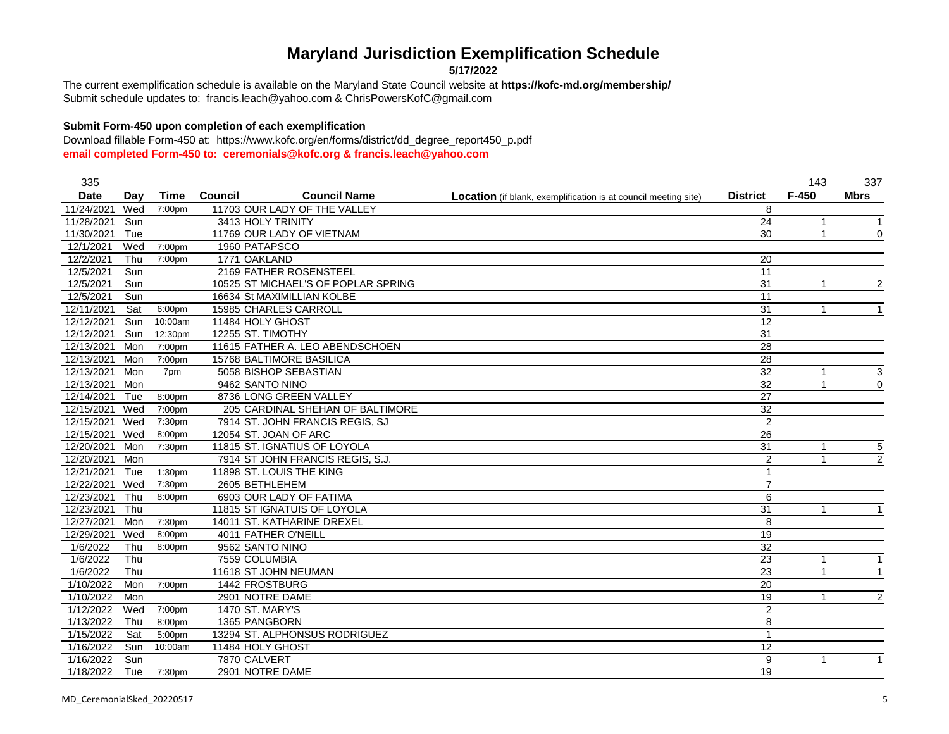**5/17/2022**

Submit schedule updates to: francis.leach@yahoo.com & ChrisPowersKofC@gmail.com The current exemplification schedule is available on the Maryland State Council website at **https://kofc-md.org/membership/**

### **Submit Form-450 upon completion of each exemplification**

| 335         |     |             |                                       |                                                                        |                 | 143          | 337            |
|-------------|-----|-------------|---------------------------------------|------------------------------------------------------------------------|-----------------|--------------|----------------|
| <b>Date</b> | Day | <b>Time</b> | <b>Council</b><br><b>Council Name</b> | <b>Location</b> (if blank, exemplification is at council meeting site) | <b>District</b> | $F-450$      | <b>Mbrs</b>    |
| 11/24/2021  | Wed | 7:00pm      | 11703 OUR LADY OF THE VALLEY          |                                                                        | 8               |              |                |
| 11/28/2021  | Sun |             | 3413 HOLY TRINITY                     |                                                                        | $\overline{24}$ | 1            | $\mathbf{1}$   |
| 11/30/2021  | Tue |             | 11769 OUR LADY OF VIETNAM             |                                                                        | 30              | $\mathbf{1}$ | $\mathbf 0$    |
| 12/1/2021   | Wed | 7:00pm      | 1960 PATAPSCO                         |                                                                        |                 |              |                |
| 12/2/2021   | Thu | 7:00pm      | 1771 OAKLAND                          |                                                                        | 20              |              |                |
| 12/5/2021   | Sun |             | 2169 FATHER ROSENSTEEL                |                                                                        | 11              |              |                |
| 12/5/2021   | Sun |             | 10525 ST MICHAEL'S OF POPLAR SPRING   |                                                                        | 31              | 1            | $\overline{2}$ |
| 12/5/2021   | Sun |             | 16634 St MAXIMILLIAN KOLBE            |                                                                        | 11              |              |                |
| 12/11/2021  | Sat | 6:00pm      | <b>15985 CHARLES CARROLL</b>          |                                                                        | 31              | 1            |                |
| 12/12/2021  | Sun | 10:00am     | 11484 HOLY GHOST                      |                                                                        | 12              |              |                |
| 12/12/2021  | Sun | 12:30pm     | 12255 ST. TIMOTHY                     |                                                                        | 31              |              |                |
| 12/13/2021  | Mon | 7:00pm      | 11615 FATHER A. LEO ABENDSCHOEN       |                                                                        | 28              |              |                |
| 12/13/2021  | Mon | 7:00pm      | <b>15768 BALTIMORE BASILICA</b>       |                                                                        | 28              |              |                |
| 12/13/2021  | Mon | 7pm         | 5058 BISHOP SEBASTIAN                 |                                                                        | $\overline{32}$ | $\mathbf{1}$ | 3              |
| 12/13/2021  | Mon |             | 9462 SANTO NINO                       |                                                                        | $\overline{32}$ | $\mathbf{1}$ | $\mathbf 0$    |
| 12/14/2021  | Tue | 8:00pm      | 8736 LONG GREEN VALLEY                |                                                                        | $\overline{27}$ |              |                |
| 12/15/2021  | Wed | 7:00pm      | 205 CARDINAL SHEHAN OF BALTIMORE      |                                                                        | 32              |              |                |
| 12/15/2021  | Wed | 7:30pm      | 7914 ST. JOHN FRANCIS REGIS, SJ       |                                                                        | $\overline{2}$  |              |                |
| 12/15/2021  | Wed | 8:00pm      | 12054 ST. JOAN OF ARC                 |                                                                        | 26              |              |                |
| 12/20/2021  | Mon | 7:30pm      | 11815 ST. IGNATIUS OF LOYOLA          |                                                                        | 31              | $\mathbf{1}$ | 5              |
| 12/20/2021  | Mon |             | 7914 ST JOHN FRANCIS REGIS, S.J.      |                                                                        | $\overline{2}$  | 1            | $\overline{2}$ |
| 12/21/2021  | Tue | 1:30pm      | 11898 ST. LOUIS THE KING              |                                                                        | 1               |              |                |
| 12/22/2021  | Wed | 7:30pm      | 2605 BETHLEHEM                        |                                                                        | $\overline{7}$  |              |                |
| 12/23/2021  | Thu | 8:00pm      | 6903 OUR LADY OF FATIMA               |                                                                        | 6               |              |                |
| 12/23/2021  | Thu |             | 11815 ST IGNATUIS OF LOYOLA           |                                                                        | 31              | 1            | $\mathbf{1}$   |
| 12/27/2021  | Mon | 7:30pm      | 14011 ST. KATHARINE DREXEL            |                                                                        | 8               |              |                |
| 12/29/2021  | Wed | 8:00pm      | 4011 FATHER O'NEILL                   |                                                                        | 19              |              |                |
| 1/6/2022    | Thu | 8:00pm      | 9562 SANTO NINO                       |                                                                        | $\overline{32}$ |              |                |
| 1/6/2022    | Thu |             | 7559 COLUMBIA                         |                                                                        | $\overline{23}$ | 1            | $\mathbf{1}$   |
| 1/6/2022    | Thu |             | 11618 ST JOHN NEUMAN                  |                                                                        | 23              |              | 1              |
| 1/10/2022   | Mon | 7:00pm      | 1442 FROSTBURG                        |                                                                        | 20              |              |                |
| 1/10/2022   | Mon |             | 2901 NOTRE DAME                       |                                                                        | 19              | 1            | 2              |
| 1/12/2022   | Wed | 7:00pm      | 1470 ST. MARY'S                       |                                                                        | $\overline{2}$  |              |                |
| 1/13/2022   | Thu | 8:00pm      | 1365 PANGBORN                         |                                                                        | 8               |              |                |
| 1/15/2022   | Sat | 5:00pm      | 13294 ST. ALPHONSUS RODRIGUEZ         |                                                                        | $\mathbf{1}$    |              |                |
| 1/16/2022   | Sun | 10:00am     | 11484 HOLY GHOST                      |                                                                        | 12              |              |                |
| 1/16/2022   | Sun |             | 7870 CALVERT                          |                                                                        | 9               | $\mathbf{1}$ | $\mathbf{1}$   |
| 1/18/2022   | Tue | 7:30pm      | 2901 NOTRE DAME                       |                                                                        | 19              |              |                |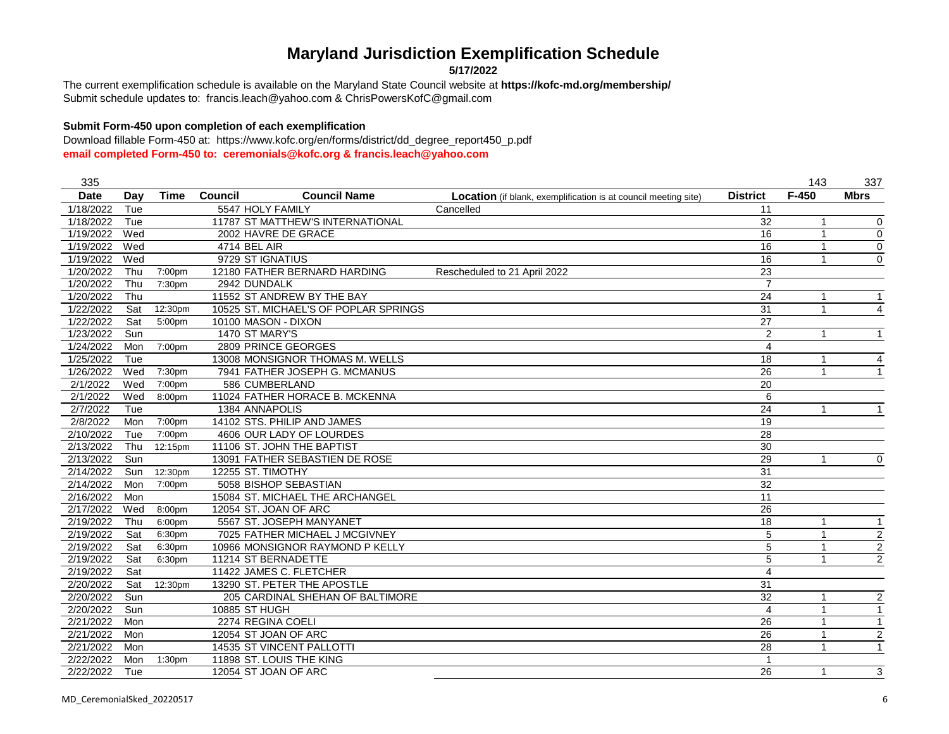**5/17/2022**

Submit schedule updates to: francis.leach@yahoo.com & ChrisPowersKofC@gmail.com The current exemplification schedule is available on the Maryland State Council website at **https://kofc-md.org/membership/**

#### **Submit Form-450 upon completion of each exemplification**

| 335         |     |                      |                                       |                                                                        |                         | 143          | 337                     |
|-------------|-----|----------------------|---------------------------------------|------------------------------------------------------------------------|-------------------------|--------------|-------------------------|
| <b>Date</b> | Day | <b>Time</b>          | <b>Council Name</b><br><b>Council</b> | <b>Location</b> (if blank, exemplification is at council meeting site) | <b>District</b>         | $F-450$      | <b>Mbrs</b>             |
| 1/18/2022   | Tue |                      | 5547 HOLY FAMILY                      | Cancelled                                                              | 11                      |              |                         |
| 1/18/2022   | Tue |                      | 11787 ST MATTHEW'S INTERNATIONAL      |                                                                        | $\overline{32}$         | 1            | $\pmb{0}$               |
| 1/19/2022   | Wed |                      | 2002 HAVRE DE GRACE                   |                                                                        | 16                      | 1            | $\boldsymbol{0}$        |
| 1/19/2022   | Wed |                      | 4714 BEL AIR                          |                                                                        | 16                      | 1            | $\mathbf 0$             |
| 1/19/2022   | Wed |                      | 9729 ST IGNATIUS                      |                                                                        | 16                      | 1            | $\mathbf 0$             |
| 1/20/2022   | Thu | 7:00pm               | 12180 FATHER BERNARD HARDING          | Rescheduled to 21 April 2022                                           | 23                      |              |                         |
| 1/20/2022   | Thu | 7:30pm               | 2942 DUNDALK                          |                                                                        | $\overline{7}$          |              |                         |
| 1/20/2022   | Thu |                      | 11552 ST ANDREW BY THE BAY            |                                                                        | 24                      | 1            | $\mathbf{1}$            |
| 1/22/2022   | Sat | 12:30pm              | 10525 ST. MICHAEL'S OF POPLAR SPRINGS |                                                                        | 31                      | 1            | 4                       |
| 1/22/2022   | Sat | 5:00pm               | 10100 MASON - DIXON                   |                                                                        | $\overline{27}$         |              |                         |
| 1/23/2022   | Sun |                      | 1470 ST MARY'S                        |                                                                        | $\overline{2}$          | $\mathbf{1}$ | $\mathbf{1}$            |
| 1/24/2022   | Mon | 7:00pm               | 2809 PRINCE GEORGES                   |                                                                        | $\overline{4}$          |              |                         |
| 1/25/2022   | Tue |                      | 13008 MONSIGNOR THOMAS M. WELLS       |                                                                        | 18                      | 1            | 4                       |
| 1/26/2022   | Wed | 7:30pm               | 7941 FATHER JOSEPH G. MCMANUS         |                                                                        | 26                      | 1            | $\mathbf{1}$            |
| 2/1/2022    | Wed | 7:00pm               | 586 CUMBERLAND                        |                                                                        | $\overline{20}$         |              |                         |
| 2/1/2022    | Wed | 8:00pm               | 11024 FATHER HORACE B. MCKENNA        |                                                                        | 6                       |              |                         |
| 2/7/2022    | Tue |                      | 1384 ANNAPOLIS                        |                                                                        | 24                      | 1            |                         |
| 2/8/2022    | Mon | $\overline{7}$ :00pm | 14102 STS. PHILIP AND JAMES           |                                                                        | $\overline{19}$         |              |                         |
| 2/10/2022   | Tue | 7:00pm               | 4606 OUR LADY OF LOURDES              |                                                                        | 28                      |              |                         |
| 2/13/2022   | Thu | 12:15pm              | 11106 ST. JOHN THE BAPTIST            |                                                                        | 30                      |              |                         |
| 2/13/2022   | Sun |                      | 13091 FATHER SEBASTIEN DE ROSE        |                                                                        | 29                      | 1            | $\Omega$                |
| 2/14/2022   | Sun | 12:30pm              | 12255 ST. TIMOTHY                     |                                                                        | 31                      |              |                         |
| 2/14/2022   | Mon | 7:00pm               | 5058 BISHOP SEBASTIAN                 |                                                                        | 32                      |              |                         |
| 2/16/2022   | Mon |                      | 15084 ST. MICHAEL THE ARCHANGEL       |                                                                        | 11                      |              |                         |
| 2/17/2022   | Wed | 8:00pm               | 12054 ST. JOAN OF ARC                 |                                                                        | 26                      |              |                         |
| 2/19/2022   | Thu | 6:00pm               | 5567 ST. JOSEPH MANYANET              |                                                                        | 18                      | 1            | $\mathbf{1}$            |
| 2/19/2022   | Sat | 6:30pm               | 7025 FATHER MICHAEL J MCGIVNEY        |                                                                        | 5                       | 1            | $\overline{2}$          |
| 2/19/2022   | Sat | 6:30pm               | 10966 MONSIGNOR RAYMOND P KELLY       |                                                                        | 5                       | 1            | $\overline{2}$          |
| 2/19/2022   | Sat | 6:30pm               | 11214 ST BERNADETTE                   |                                                                        | 5                       | $\mathbf 1$  | $\boldsymbol{2}$        |
| 2/19/2022   | Sat |                      | 11422 JAMES C. FLETCHER               |                                                                        | $\overline{\mathbf{4}}$ |              |                         |
| 2/20/2022   | Sat | 12:30pm              | 13290 ST. PETER THE APOSTLE           |                                                                        | 31                      |              |                         |
| 2/20/2022   | Sun |                      | 205 CARDINAL SHEHAN OF BALTIMORE      |                                                                        | 32                      | 1            | $\overline{\mathbf{c}}$ |
| 2/20/2022   | Sun |                      | 10885 ST HUGH                         |                                                                        | 4                       | 1            | $\mathbf{1}$            |
| 2/21/2022   | Mon |                      | 2274 REGINA COELI                     |                                                                        | 26                      | 1            | $\mathbf{1}$            |
| 2/21/2022   | Mon |                      | 12054 ST JOAN OF ARC                  |                                                                        | 26                      | 1            | $\overline{\mathbf{c}}$ |
| 2/21/2022   | Mon |                      | 14535 ST VINCENT PALLOTTI             |                                                                        | 28                      | $\mathbf{1}$ | $\mathbf{1}$            |
| 2/22/2022   | Mon | 1:30 <sub>pm</sub>   | 11898 ST. LOUIS THE KING              |                                                                        | 1                       |              |                         |
| 2/22/2022   | Tue |                      | 12054 ST JOAN OF ARC                  |                                                                        | 26                      | 1            | 3                       |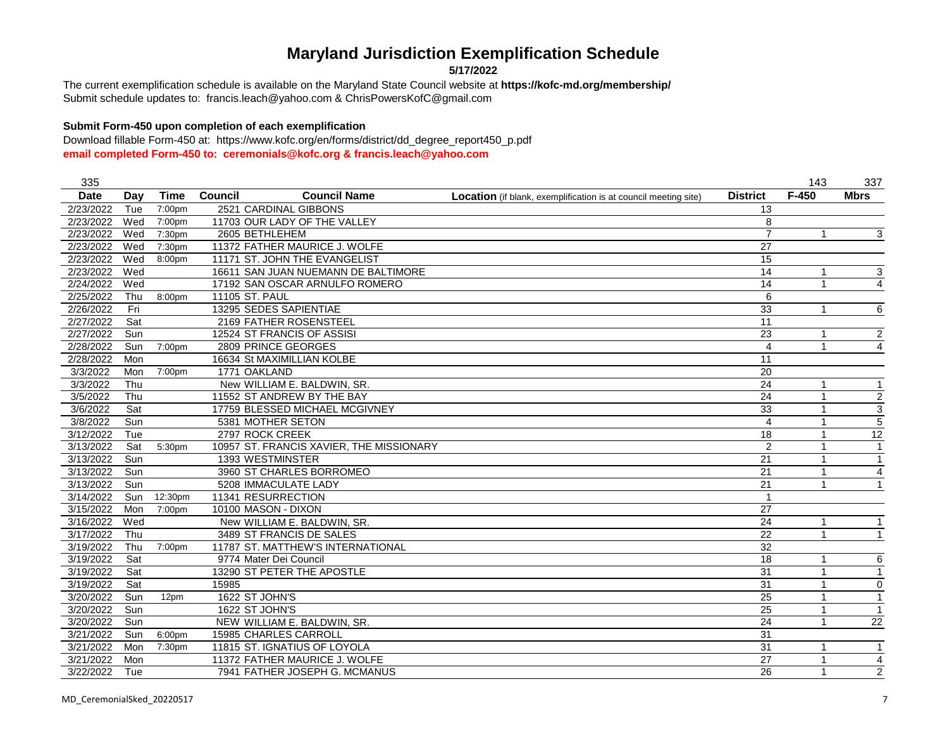**5/17/2022**

Submit schedule updates to: francis.leach@yahoo.com & ChrisPowersKofC@gmail.com The current exemplification schedule is available on the Maryland State Council website at **https://kofc-md.org/membership/**

### **Submit Form-450 upon completion of each exemplification**

| 335         |     |             |                                          |                                                                        |                         | 143          | 337                     |
|-------------|-----|-------------|------------------------------------------|------------------------------------------------------------------------|-------------------------|--------------|-------------------------|
| <b>Date</b> | Day | <b>Time</b> | <b>Council Name</b><br>Council           | <b>Location</b> (if blank, exemplification is at council meeting site) | <b>District</b>         | $F-450$      | <b>Mbrs</b>             |
| 2/23/2022   | Tue | 7:00pm      | 2521 CARDINAL GIBBONS                    |                                                                        | 13                      |              |                         |
| 2/23/2022   | Wed | 7:00pm      | 11703 OUR LADY OF THE VALLEY             |                                                                        | 8                       |              |                         |
| 2/23/2022   | Wed | 7:30pm      | 2605 BETHLEHEM                           |                                                                        | $\overline{7}$          | 1            | 3                       |
| 2/23/2022   | Wed | 7:30pm      | 11372 FATHER MAURICE J. WOLFE            |                                                                        | 27                      |              |                         |
| 2/23/2022   | Wed | 8:00pm      | 11171 ST. JOHN THE EVANGELIST            |                                                                        | $\overline{15}$         |              |                         |
| 2/23/2022   | Wed |             | 16611 SAN JUAN NUEMANN DE BALTIMORE      |                                                                        | 14                      | 1            | 3                       |
| 2/24/2022   | Wed |             | 17192 SAN OSCAR ARNULFO ROMERO           |                                                                        | 14                      | 1            | $\overline{4}$          |
| 2/25/2022   | Thu | 8:00pm      | 11105 ST. PAUL                           |                                                                        | 6                       |              |                         |
| 2/26/2022   | Fri |             | 13295 SEDES SAPIENTIAE                   |                                                                        | 33                      | 1            | 6                       |
| 2/27/2022   | Sat |             | 2169 FATHER ROSENSTEEL                   |                                                                        | 11                      |              |                         |
| 2/27/2022   | Sun |             | 12524 ST FRANCIS OF ASSISI               |                                                                        | 23                      | 1            | $\overline{2}$          |
| 2/28/2022   | Sun | 7:00pm      | 2809 PRINCE GEORGES                      |                                                                        | 4                       | 1            | 4                       |
| 2/28/2022   | Mon |             | 16634 St MAXIMILLIAN KOLBE               |                                                                        | 11                      |              |                         |
| 3/3/2022    | Mon | 7:00pm      | 1771 OAKLAND                             |                                                                        | 20                      |              |                         |
| 3/3/2022    | Thu |             | New WILLIAM E. BALDWIN, SR.              |                                                                        | 24                      | 1            | $\mathbf{1}$            |
| 3/5/2022    | Thu |             | 11552 ST ANDREW BY THE BAY               |                                                                        | 24                      | 1            | $\overline{\mathbf{c}}$ |
| 3/6/2022    | Sat |             | 17759 BLESSED MICHAEL MCGIVNEY           |                                                                        | 33                      | 1            | $\overline{3}$          |
| 3/8/2022    | Sun |             | 5381 MOTHER SETON                        |                                                                        | $\overline{\mathbf{4}}$ | 1            | 5                       |
| 3/12/2022   | Tue |             | 2797 ROCK CREEK                          |                                                                        | 18                      | 1            | 12                      |
| 3/13/2022   | Sat | 5:30pm      | 10957 ST. FRANCIS XAVIER, THE MISSIONARY |                                                                        | $\overline{2}$          | 1            | $\overline{1}$          |
| 3/13/2022   | Sun |             | 1393 WESTMINSTER                         |                                                                        | 21                      | 1            | $\mathbf{1}$            |
| 3/13/2022   | Sun |             | 3960 ST CHARLES BORROMEO                 |                                                                        | 21                      | 1            | $\overline{4}$          |
| 3/13/2022   | Sun |             | 5208 IMMACULATE LADY                     |                                                                        | 21                      | 1            | $\mathbf{1}$            |
| 3/14/2022   | Sun | 12:30pm     | 11341 RESURRECTION                       |                                                                        | 1                       |              |                         |
| 3/15/2022   | Mon | 7:00pm      | 10100 MASON - DIXON                      |                                                                        | 27                      |              |                         |
| 3/16/2022   | Wed |             | New WILLIAM E. BALDWIN, SR.              |                                                                        | $\overline{24}$         | 1            | $\mathbf{1}$            |
| 3/17/2022   | Thu |             | 3489 ST FRANCIS DE SALES                 |                                                                        | $\overline{22}$         | 1            | $\mathbf{1}$            |
| 3/19/2022   | Thu | 7:00pm      | 11787 ST. MATTHEW'S INTERNATIONAL        |                                                                        | $\overline{32}$         |              |                         |
| 3/19/2022   | Sat |             | 9774 Mater Dei Council                   |                                                                        | $\overline{18}$         |              | 6                       |
| 3/19/2022   | Sat |             | 13290 ST PETER THE APOSTLE               |                                                                        | 31                      | 1            | $\mathbf{1}$            |
| 3/19/2022   | Sat |             | 15985                                    |                                                                        | 31                      | 1            | 0                       |
| 3/20/2022   | Sun | 12pm        | 1622 ST JOHN'S                           |                                                                        | 25                      | $\mathbf{1}$ | $\mathbf{1}$            |
| 3/20/2022   | Sun |             | 1622 ST JOHN'S                           |                                                                        | 25                      | 1            | $\overline{1}$          |
| 3/20/2022   | Sun |             | NEW WILLIAM E. BALDWIN, SR.              |                                                                        | 24                      | 1            | 22                      |
| 3/21/2022   | Sun | 6:00pm      | 15985 CHARLES CARROLL                    |                                                                        | 31                      |              |                         |
| 3/21/2022   | Mon | 7:30pm      | 11815 ST. IGNATIUS OF LOYOLA             |                                                                        | $\overline{31}$         | 1            | $\mathbf{1}$            |
| 3/21/2022   | Mon |             | 11372 FATHER MAURICE J. WOLFE            |                                                                        | $\overline{27}$         | 1            | $\overline{4}$          |
| 3/22/2022   | Tue |             | 7941 FATHER JOSEPH G. MCMANUS            |                                                                        | 26                      | 1            | $\overline{2}$          |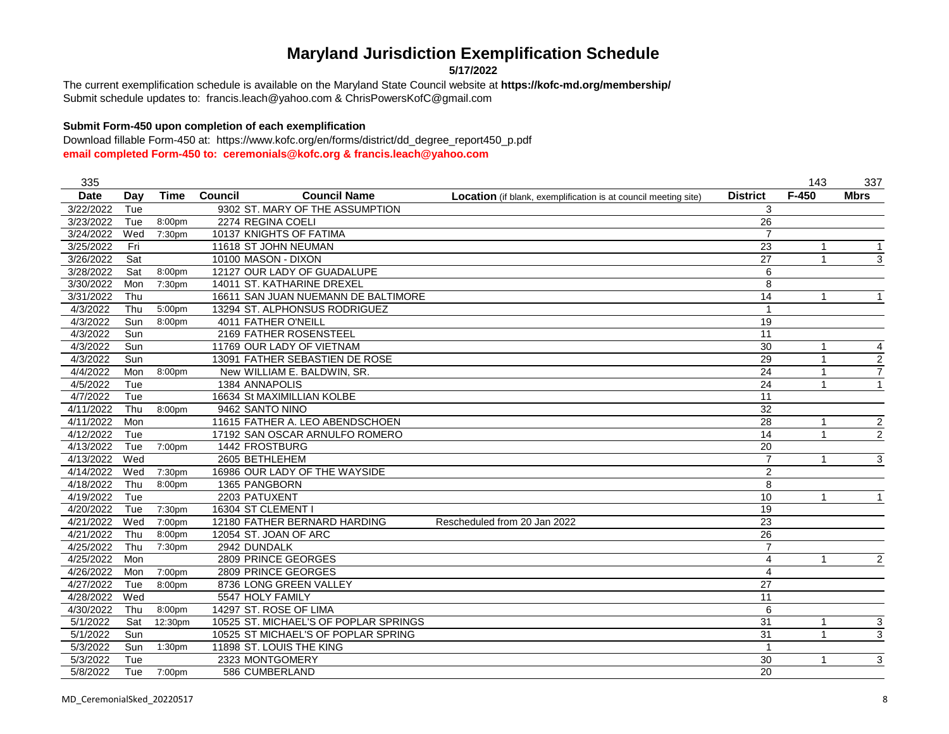**5/17/2022**

Submit schedule updates to: francis.leach@yahoo.com & ChrisPowersKofC@gmail.com The current exemplification schedule is available on the Maryland State Council website at **https://kofc-md.org/membership/**

### **Submit Form-450 upon completion of each exemplification**

| 335         |     |                    |                                       |                                                                        |                         | 143          | 337                     |
|-------------|-----|--------------------|---------------------------------------|------------------------------------------------------------------------|-------------------------|--------------|-------------------------|
| <b>Date</b> | Day | <b>Time</b>        | <b>Council Name</b><br><b>Council</b> | <b>Location</b> (if blank, exemplification is at council meeting site) | <b>District</b>         | $F-450$      | <b>Mbrs</b>             |
| 3/22/2022   | Tue |                    | 9302 ST. MARY OF THE ASSUMPTION       |                                                                        | 3                       |              |                         |
| 3/23/2022   | Tue | 8:00pm             | 2274 REGINA COELI                     |                                                                        | 26                      |              |                         |
| 3/24/2022   | Wed | 7:30 <sub>pm</sub> | 10137 KNIGHTS OF FATIMA               |                                                                        | $\overline{7}$          |              |                         |
| 3/25/2022   | Fri |                    | 11618 ST JOHN NEUMAN                  |                                                                        | 23                      |              | -1                      |
| 3/26/2022   | Sat |                    | 10100 MASON - DIXON                   |                                                                        | 27                      |              | 3                       |
| 3/28/2022   | Sat | 8:00pm             | 12127 OUR LADY OF GUADALUPE           |                                                                        | 6                       |              |                         |
| 3/30/2022   | Mon | 7:30pm             | 14011 ST. KATHARINE DREXEL            |                                                                        | 8                       |              |                         |
| 3/31/2022   | Thu |                    | 16611 SAN JUAN NUEMANN DE BALTIMORE   |                                                                        | 14                      |              |                         |
| 4/3/2022    | Thu | 5:00pm             | 13294 ST. ALPHONSUS RODRIGUEZ         |                                                                        |                         |              |                         |
| 4/3/2022    | Sun | 8:00pm             | 4011 FATHER O'NEILL                   |                                                                        | 19                      |              |                         |
| 4/3/2022    | Sun |                    | 2169 FATHER ROSENSTEEL                |                                                                        | 11                      |              |                         |
| 4/3/2022    | Sun |                    | 11769 OUR LADY OF VIETNAM             |                                                                        | 30                      | 1            | 4                       |
| 4/3/2022    | Sun |                    | 13091 FATHER SEBASTIEN DE ROSE        |                                                                        | 29                      |              | $\overline{2}$          |
| 4/4/2022    | Mon | 8:00pm             | New WILLIAM E. BALDWIN, SR            |                                                                        | $\overline{24}$         |              | $\overline{7}$          |
| 4/5/2022    | Tue |                    | 1384 ANNAPOLIS                        |                                                                        | 24                      |              | 1                       |
| 4/7/2022    | Tue |                    | 16634 St MAXIMILLIAN KOLBE            |                                                                        | 11                      |              |                         |
| 4/11/2022   | Thu | 8:00pm             | 9462 SANTO NINO                       |                                                                        | $\overline{32}$         |              |                         |
| 4/11/2022   | Mon |                    | 11615 FATHER A. LEO ABENDSCHOEN       |                                                                        | 28                      |              | $\overline{\mathbf{c}}$ |
| 4/12/2022   | Tue |                    | 17192 SAN OSCAR ARNULFO ROMERO        |                                                                        | 14                      | $\mathbf{1}$ | $\overline{2}$          |
| 4/13/2022   | Tue | 7:00pm             | 1442 FROSTBURG                        |                                                                        | 20                      |              |                         |
| 4/13/2022   | Wed |                    | 2605 BETHLEHEM                        |                                                                        | $\overline{7}$          |              | 3                       |
| 4/14/2022   | Wed | 7:30pm             | 16986 OUR LADY OF THE WAYSIDE         |                                                                        | $\overline{2}$          |              |                         |
| 4/18/2022   | Thu | 8:00pm             | 1365 PANGBORN                         |                                                                        | 8                       |              |                         |
| 4/19/2022   | Tue |                    | 2203 PATUXENT                         |                                                                        | 10                      | 1            |                         |
| 4/20/2022   | Tue | 7:30 <sub>pm</sub> | 16304 ST CLEMENT I                    |                                                                        | 19                      |              |                         |
| 4/21/2022   | Wed | 7:00pm             | 12180 FATHER BERNARD HARDING          | Rescheduled from 20 Jan 2022                                           | 23                      |              |                         |
| 4/21/2022   | Thu | 8:00pm             | 12054 ST. JOAN OF ARC                 |                                                                        | 26                      |              |                         |
| 4/25/2022   | Thu | 7:30pm             | 2942 DUNDALK                          |                                                                        | $\overline{7}$          |              |                         |
| 4/25/2022   | Mon |                    | 2809 PRINCE GEORGES                   |                                                                        | 4                       |              | 2                       |
| 4/26/2022   | Mon | 7:00pm             | 2809 PRINCE GEORGES                   |                                                                        | $\overline{\mathbf{4}}$ |              |                         |
| 4/27/2022   | Tue | 8:00pm             | 8736 LONG GREEN VALLEY                |                                                                        | 27                      |              |                         |
| 4/28/2022   | Wed |                    | 5547 HOLY FAMILY                      |                                                                        | $\overline{11}$         |              |                         |
| 4/30/2022   | Thu | 8:00pm             | 14297 ST. ROSE OF LIMA                |                                                                        | 6                       |              |                         |
| 5/1/2022    | Sat | 12:30pm            | 10525 ST. MICHAEL'S OF POPLAR SPRINGS |                                                                        | 31                      | 1            | 3                       |
| 5/1/2022    | Sun |                    | 10525 ST MICHAEL'S OF POPLAR SPRING   |                                                                        | $\overline{31}$         | 1            | 3                       |
| 5/3/2022    | Sun | 1:30pm             | 11898 ST. LOUIS THE KING              |                                                                        | $\overline{1}$          |              |                         |
| 5/3/2022    | Tue |                    | 2323 MONTGOMERY                       |                                                                        | 30                      |              | 3                       |
| 5/8/2022    | Tue | 7:00pm             | 586 CUMBERLAND                        |                                                                        | 20                      |              |                         |